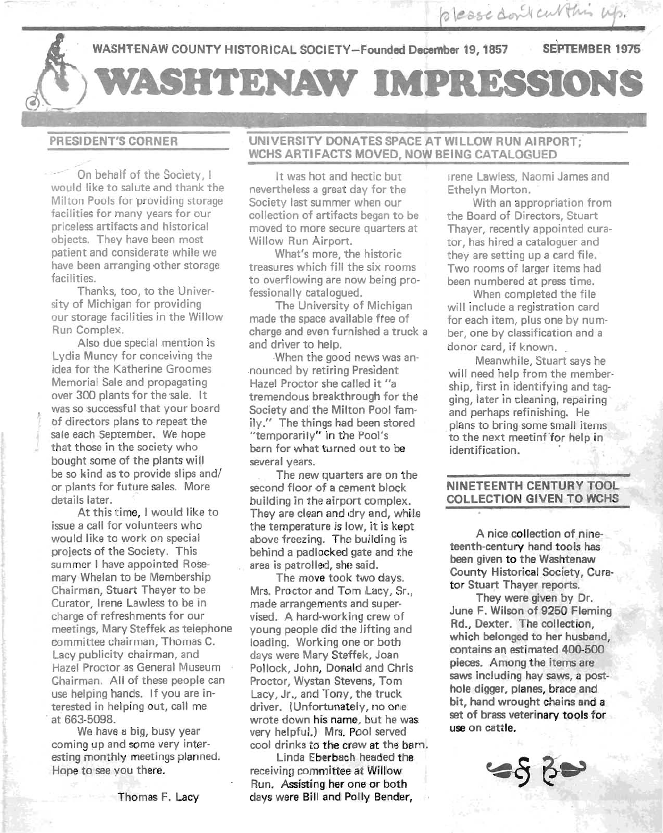WASHTENAW COUNTY HISTORICAL SOCIETY-Founded December 19, 1857 SEPTEMBER 1975 SHTENAW IMPRESSIONS

# PRESIDENT'S CORNER

~

On behalf of the Society, I would like to salute and thank the Milton Pools for providing storage facilities for many years for our priceless artifacts and historical objects. They have been most patient and considerate while we have been arranging other storage facilities.

Thanks, too, to the University of Michigan for providing our storage facilities in the Willow Run Complex.

Also due special mention is Lydia Muncy for conceiving the idea for the Katherine Groomes Memorial Sale and propagating over 300 plants for the sale. It was so successful that your board of directors plans to repeat the sale each September. We hope that those in the society who bought some of the plants will be so kind as to provide slips and/ or plants for future sales. More details later.

At this time, I would like to issue a call for volunteers who would like to work on special projects of the Society. This summer I have appointed Rosemary Whelan to be Membership Chairman, Stuart Thayer to be Curator, Irene Lawless to be in charge of refreshments for our meetings, Mary Steffek as telephone committee chairman, Thomas C. Lacy publicity chairman, and Hazel Proctor as General Museum Chairman. All of these people can use helping hands. If you are interested in helping out, call me , at 663-5098.

We have a big, busy year coming up and some very interesting monthly meetings planned. Hope to see you there.

Thomas F. Lacy

# UNIVERSITY DONATES SPACE AT WILLOW RUN AIRPORT; WCHS ARTIFACTS MOVED, NOW BEING CATALOGUED

It was hot and hectic but nevertheless a great day for the Society last summer when our collection of artifacts began to be moved to more secure quarters at Willow Run Airport.

What's more, the historic treasures which fill the six rooms to overflowing are now being professionally catalogued.

The University of Michigan made the space available free of charge and even furnished a truck a and driver to help.

When the good news was an- .nounced by retiring President Hazel Proctor she called it "a tremendous breakthrough for the Society and the Milton Pool family." The things had been stored "temporarily" in the Pool's barn for what turned out to be several years.

The new quarters are on the second floor of a cement block building in the airport complex. They are clean and dry and, while the temperature is low, it is kept above freezing. The building is behind a padlocked gate and the area is patrolled, she said.

The move took two days. Mrs. Proctor and Tom Lacy, Sr., made arrangements and supervised. A hard-working crew of young people did the lifting and loading. Working one or both days were Mary Steffek, Joan Pollock, John, Donald and Chris Proctor, Wystan Stevens, Tom Lacy, Jr., and Tony, the truck driver. (Unfortunately, no one wrote down his name, but he was very helpful.) Mrs. Pool served cool drinks to the crew at the barn.

Linda Eberbach headed the receiving committee at Willow Run. Assisting her one or both days were Bill and Polly Bender, Irene Lawless, Naomi James and Ethelyn Morton.

With an appropriation from the Board of Directors, Stuart Thayer, recently appointed curator, has hired a cataloguer and they are setting up a card file. Two rooms of larger items had been numbered at press time.

When completed the file will include a registration card 'for each item, plus one by number, one by classification and a donor card, if known.

Meanwhile, Stuart says he will need help from the membership, first in identifying and tagging, later in cleaning, repairing and perhaps refinishing. He plans to bring some small items to the next meetinf'for help in identification.

# NINETEENTH CENTURY TOOL COLLECTION GIVEN TO WCHS

A nice collection of nineteenth-century hand tools has been given to the Washtenaw County Historical Society, Curator Stuart Thayer reports.

They were given by Dr. June F. Wilson of 9250 Fleming Rd., Dexter. The collection, which belonged to her husband, contains an estimated 400-500 pieces. Among the items are saws including hay saws, a posthole digger, planes, brace and bit, hand wrought chains and a set of brass veterinary tools for use on cattle.

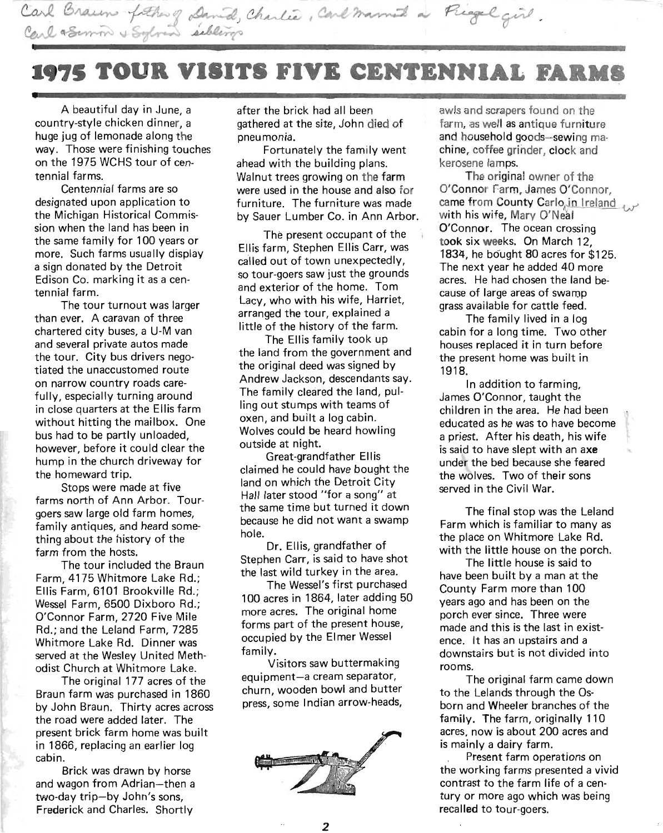

# **1975 TOUR VISITS FIVE CENTENNIAL FARMS --**

A beautiful day in June, a country-style chicken dinner, a huge jug of lemonade along the way. Those were finishing touches on the 1975 WCHS tour of centennial farms.

Centennial farms are so designated upon application to the Michigan Historical Commission when the land has been in the same family for 100 years or more. Such farms usually display a sign donated by the Detroit Edison Co. marking it as a centennial farm.

The tour turnout was larger than ever. A caravan of three chartered city buses, a U-M van and several private autos made the tour. City bus drivers negotiated the unaccustomed route on narrow country roads carefully, especially turning around in close quarters at the Ellis farm without hitting the mailbox. One bus had to be partly unloaded, however, before it could clear the hump in the church driveway for the homeward trip.

Stops were made at five farms north of Ann Arbor. Tourgoers saw large old farm homes, family antiques, and heard something about the history of the farm from the hosts.

The tour included the Braun Farm, 4175 Whitmore Lake Rd.; Ellis Farm, 6101 Brookville Rd.; Wessel Farm, 6500 Dixboro Rd.; O'Connor Farm, 2720 Five Mile Rd.; and the Leland Farm, 7285 Whitmore Lake Rd. Dinner was served at the Wesley United Methodist Church at Whitmore Lake.

The original 177 acres of the Braun farm was purchased in 1860 by John Braun. Thirty acres across the road were added later. The present brick farm home was built in 1866, replacing an earlier log cabin.

Brick was drawn by horse and wagon from Adrian-then a two-day trip-by John's sons, Frederick and Charles. Shortly

after the brick had all been . gathered at the site, John died of pneumonia.

Fortunately the family went ahead with the building plans. Walnut trees growing on the farm were used in the house and also for furniture. The furniture was made by Sauer Lumber Co. in Ann Arbor.

The present occupant of the Ellis farm, Stephen Ellis Carr, was called out of town unexpectedly, so tour-goers saw just the grounds and exterior of the home. Tom Lacy, who with his wife, Harriet, arranged the tour, explained a little of the history of the farm.

The Ellis family took up the land from the government and the original deed was signed by Andrew Jackson, descendants say. The family cleared the land, pulling out stumps with teams of oxen, and built a log cabin. Wolves could be heard howling outside at night.

Great-grandfather Ellis . claimed he could have bought the land on which the Detroit City Hall later stood "for a song" at the same time but turned it down because he did not want a swamp hole.

Dr. Ellis, grandfather of Stephen Carr, is said to have shot the last wild turkey in the area.

The Wessel's first purchased 100 acres in 1864, later adding 50 more acres. The original home forms part of the present house, occupied by the Elmer Wessel family.

Visitors saw buttermaking equipment-a cream separator, churn, wooden bowl and butter press, some Indian arrow-heads,



awls and scrapers found on the farm, as well as antique furniture . and household goods-sewing machine, coffee grinder, clock and kerosene lamps.

The original owner of the O'Connor Farm, James O'Connor, came from County Carlo, in Ireland with his wife, Mary O'Neal O'Connor. The ocean crossing took six weeks. On March 12, 1834, he bought 80 acres for \$125. The next year he added 40 more acres. He had chosen the land because of large areas of swamp grass available for cattle feed.

The family lived in a log cabin for a long time. Two other houses replaced it in turn before the present home was built in 1918.

In addition to farming, James O'Connor, taught the children in the area. He had been educated as he was to have become a priest. After his death, his wife is said to have slept with an axe under the bed because she feared the wolves. Two of their sons served in the Civil War.

The final stop was the Leland Farm which is familiar to many as the place on Whitmore Lake Rd. with the little house on the porch.

The little house is said to have been built by a man at the County Farm more than 100 years ago and has been on the porch ever since. Three were made and this is the last in existence. It has an upstairs and a downstairs but is not divided into rooms.

The original farm came down to the Lelands through the Osborn and Wheeler branches of the family. The farm, originally 110 acres, now is about 200 acres and is mainly a dairy farm.

Present farm operations on the working farms presented a vivid contrast to the farm life of a century or more ago which was being recalled to tour-goers.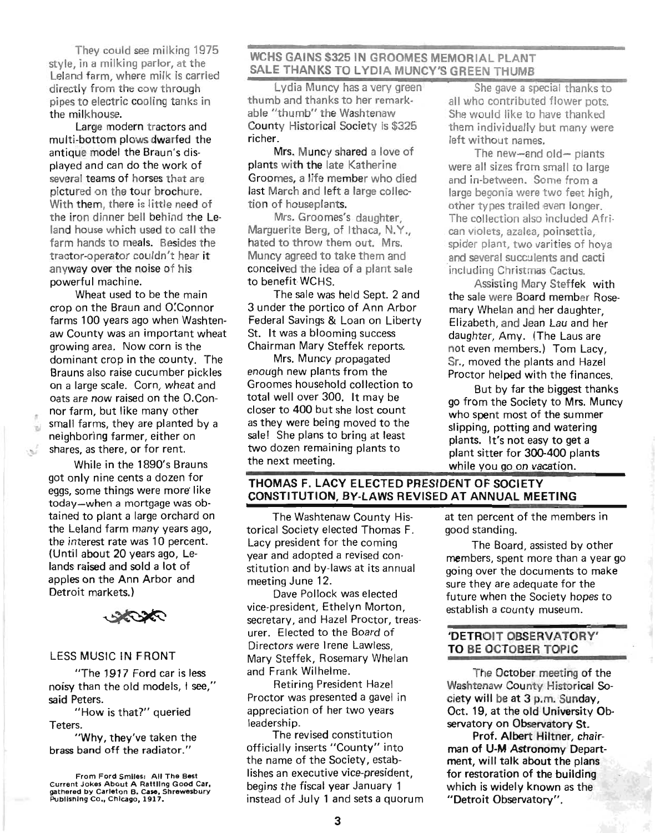They could see milking 1975 style, in a milking parlor, at the Leland farm, where milk is carried directly from the cow through pipes to electric cooling tanks in the milkhouse.

Large modern tractors and multi-bottom plows dwarfed the antique model the Braun's displayed and can do the work of several teams of horses that are pictured on the tour brochure. With them, there is little need of the iron dinner bell behind the Leland house which used to call the farm hands to meals. Besides the tractor-operator couldn't hear it anyway over the noise of his powerful machine.

Wheat used to be the main crop on the Braun and O:Connor farms 100 years ago when Washtenaw County was an important wheat growing area. Now corn is the dominant crop in the county. The Brauns also raise cucumber pickles on a large scale. Corn, wheat and oats are now raised on the O.Con- . nor farm, but like many other small farms, they are planted by a neighboring farmer, either on shares, as there, or for rent.

> While in the 1890's Brauns got only nine cents a dozen for eggs, some things were more' like today-when a mortgage was obtained to plant a large orchard on the Leland farm many years ago, the interest rate was 10 percent. (Until about 20 years ago, Lelands raised and sold a lot of apples on the Ann Arbor and Detroit markets.)

### LESS MUSIC IN FRONT

"The 1917 Ford car is less noisy than the old models, I see," said Peters.

"How is that?" queried Teters.

"Why, they've taken the brass band off the radiator."

# WCHS GAINS \$325 IN GROOMES MEMORIAL PLANT SALE THANKS TO LYDIA MUNCY'S GREEN THUMB

Lydia Muncy has a very green She gave a special thanks to thumb and thanks to her remark- all who contributed flower pots. able "thumb" the Washtenaw She would like to have thanked County Historical Society is \$325 them individually but many were richer.  $\qquad \qquad$  left without names.

Mrs. Muncy shared a love of The new-and old- plants plants with the late Katherine were all sizes from small to large Groomes, a life member who died and in-between. Some from a last March and left a large collec- large begonia were two feet high, tion of houseplants. The other types trailed even longer.

Marguerite Berg, of Ithaca, N.Y., can violets, azalea, poinsettia, Muncy agreed to take them and and several succulents and cacti conceived the idea of a plant sale including Christmas Cactus. to benefit WCHS. Assisting Mary Steffek with

3 under the portico of Ann Arbor mary Whelan and her daughter, Federal Savings & Loan on Liberty Elizabeth, and Jean Lau and her St. It was a blooming success daughter, Amy. (The Laus are

enough new plants from the Proctor helped with the finances. Groomes household collection to But by far the biggest thanks closer to 400 but she lost count who spent most of the summer as they were being moved to the slipping, potting and watering sale! She plans to bring at least plants. It's not easy to get a two dozen remaining plants to plant sitter for 300-400 plants

Mrs. Groomes's daughter, The collection also included Afrihated to throw them out. Mrs. spider plant, two varities of hoval

The sale was held Sept. 2 and the sale were Board member Rose-Chairman Mary Steffek reports. not even members.) Tom Lacy, Mrs. Muncy propagated Sr., moved the plants and Hazel

total well over 300. It may be go from the Society to Mrs. Muncy the next meeting.<br>while you go on vacation.

# THOMAS F. LACY ELECTED PRESIDENT OF SOCIETY CONSTITUTION, BY-LAWS REVISED AT ANNUAL MEETING

The Washtenaw County Historical Society elected Thomas F. Lacy president for the coming year and adopted a revised constitution and by-laws at its annual meeting June 12.

Dave Pollock was elected vice-president, Ethelyn Morton, secretary, and Hazel Proctor, treas· urer. Elected to the Board of Directors were Irene Lawless, Mary Steffek, Rosemary Whelan and Frank Wilhelme.

Retiring President Hazel Proctor was presented a gavel in appreciation of her two years leadership.

The revised constitution officially inserts "County" into the name of the Society, establishes an executive vice-president, begins the fiscal year January 1 instead of July 1 and sets a quorum

at ten percent of the members in good standing.

The Board, assisted by other members, spent more than a year go going over the documents to make sure they are adequate for the future when the Society hopes to establish a county museum.

## 'DETROIT OBSERVATORY' TO BE OCTOBER TOPIC

The October meeting of the Washtenaw County Historical Society will be at 3 p.m. Sunday, Oct. 19, at the old University Observatory on Observatory St.

Prof. Albert Hiltner, chairman of U-M Astronomy Department, will talk about the plans for restoration of the building which is widely known as the "Detroit Observatory".

From Ford Smiles: All The Best Current Jokes About A Rattling Good Car, gathered by Carleton B. Case, Shrewllsbury Publishing Co., Chicago, 1917.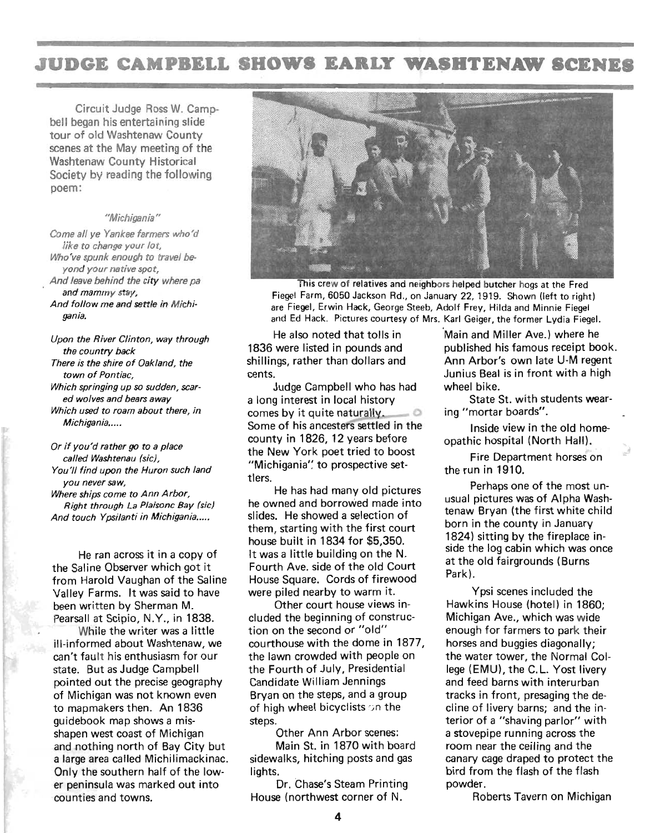# **JUDGE CAMPBELL SHOWS EARLY WASBTENAW SCENES**

Circuit Judge Ross W. Campbell began his entertaining slide tour of old Washtenaw County scenes at the May meeting of the Washtenaw County Historical Society by reading the following poem:

### "Michigania"

Come all ye Yankee farmers who'd like to change your lot, Who've spunk enough to travel beyond your native spot, And leave behind the city where pa and mammy stay, And follow me and settle in Michigania.

Upon the River Clinton, way through the country back

There is the shire of Oakland, the town of Pontiac,

Which springing up so sudden, scared wolves and bears away Which used to roam about there, in

Michigania....

Or if you'd rather go to a place called Washtenau (sic),

You'll find upon the Huron such land you never saw,

Where ships come to Ann Arbor, Right through La Plaisonc Bay (sic) And touch Ypsilanti in Michigania.....

He ran across it in a copy of the Saline Observer which got it from Harold Vaughan of the Saline Valley Farms. It was said to have been written by Sherman M. Pearsall at Scipio, N.Y., in 1838.

While the writer was a little ill-informed about Washtenaw, we can't fault his enthusiasm for our state. But as Judge Campbell pointed out the precise geography of Michigan was not known even to mapmakers then. An 1836 guidebook map shows a misshapen west coast of Michigan and nothing north of Bay City but a large area called Michilimackinac. Only the southern half of the lower peninsula was marked out into counties and towns.



This crew of relatives and neighbors helped butcher hogs at the Fred Fiegel Farm, 6050 Jackson Rd., on January 22, 1919. Shown (left to right) are Fiegel, Erwin Hack, George Steeb, Adolf Frey, Hilda and Minnie Fiegel and Ed Hack. Pictures courtesy of Mrs. Karl Geiger, the former Lydia Fiegel.

He also noted that tolls in 'Main and Miller Ave.) where he

Judge Campbell who has had wheel bike. a long interest in local history State St. with students wearcomes by it quite naturally.  $\Box$  ing "mortar boards". Some of his ancesters settled in the Inside view in the old homecounty in 1826, 12 years before opathic hospital (North Hall). the New York poet tried to boost "Michigania" to prospective settlers.

He has had many old pictures he owned and borrowed made into slides. He showed a selection of them, starting with the first court house built in 1834 for \$5,350. It was a little building on the N. Fourth Ave. side of the old Court House Square. Cords of firewood were piled nearby to warm it.

Other court house views included the beginning of construction on the second or "old" courthouse with the dome in 1877, the lawn crowded with people on the Fourth of July, Presidential Candidate William Jennings Bryan on the steps, and a group of high wheel bicyclists on the steps.

Other Ann Arbor scenes: Main St. in 1870 with board sidewalks, hitching posts and gas lights.

Dr. Chase's Steam Printing House (northwest corner of N.

1836 were listed in pounds and published his famous receipt book. shillings, rather than dollars and Ann Arbor's own late U-M regent cents. Junius Beal is in front with a high

Fire Department horses on the run in 1910.

Perhaps one of the most unusual pictures was of Alpha Washtenaw Bryan (the first white child born in the county in January 1824) sitting by the fireplace inside the log cabin which was once at the old fairgrounds (Burns Park).

Ypsi scenes included the Hawkins House (hotel) in 1860; Michigan Ave., which was wide enough for farmers to park their horses and buggies diagonally: the water tower, the Normal College (EMU), the C.L. Yost livery and feed barns with interurban tracks in front, presaging the decline of livery barns; and the interior of a "shaving parlor" with a stovepipe running across the room near the ceiling and the canary cage draped to protect the bird from the flash of the flash powder.

Roberts Tavern on Michigan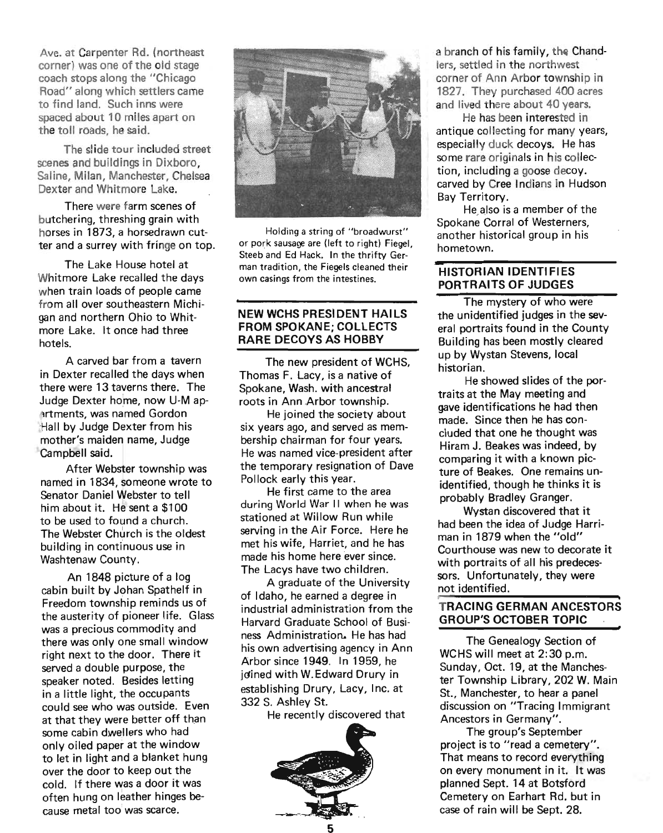Ave. at Carpenter Rd. (northeast corner) was one of the old stage coach stops along the "Chicago Road" along which settlers came to find land. Such inns were spaced about 10 miles apart on the toll roads, he said.

The slide tour included street scenes and buildings in Dixboro, Saline, Milan, Manchester, Chelsea Dexter and Whitmore Lake.

There were farm scenes of butchering, threshing grain with horses in 1873, a horsedrawn cutter and a surrey with fringe on top.

The Lake House hotel at Whitmore Lake recalled the days when train loads of people came from all over southeastern Michigan and northern Ohio to Whitmore Lake. It once had three hotels.

A carved bar from a tavern in Dexter recalled the days when there were 13 taverns there. The Judge Dexter home, now U-M aprtments, was named Gordon -Hall by Judge Dexter from his mother's maiden name, Judge Campbell said.

After Webster township was named in 1834, someone wrote to Senator Daniel Webster to tell him about it. He sent a \$100 to be used to found a church. The Webster Church is the oldest building in continuous use in Washtenaw County.

An 1848 picture of a log cabin built by Johan Spathelf in Freedom township reminds us of the austerity of pioneer life. Glass was a precious commodity and there was only one small window right next to the door. There it served a double purpose, the speaker noted. Besides letting in a little light, the occupants could see who was outside. Even at that they were better off than some cabin dwellers who had only oiled paper at the window to let in light and a blanket hung over the door to keep out the cold. If there was a door it was often hung on leather hinges because metal too was scarce.



Holding a string of "broadwurst" or pork sausage are (lett to right) Fiegel, Steeb and Ed Hack. In the thrifty German tradition, the Fiegels cleaned their own casings from the intestines.

### NEW WCHS PRESIDENT HAILS FROM SPOKANE; COLLECTS RARE DECOYS AS HOBBY

The new president of WCHS, Thomas F. Lacy, is a native of Spokane, Wash. with ancestral roots in Ann Arbor township.

. He joined the society about six years ago, and served as membership chairman for four years. He was named vice-president after the temporary resignation of Dave Pollock early this year.

He first came to the area during World War II when he was stationed at Willow Run while serving in the Air Force. Here he met his wife, Harriet, and he has made his home here ever since. The Lacys have two children.

A graduate of the University of Idaho, he earned a degree in industrial administration from the Harvard Graduate School of Business Administration. He has had his own advertising agency in Ann Arbor since 1949. In 1959, he idined with W.Edward Drury in establishing Drury, Lacy, Inc. at 332 S. Ashley St.

He recently discovered that



a branch of his family, the Chandlers, settled in the northwest corner of Ann Arbor township in 1827. They purchased 400 acres and lived there about 40 years.

He has been interested in antique collecting for many years. especially duck decoys. He has some rare originals in his collection, including a goose decoy. carved by Cree Indians in Hudson Bay Territory.

He, also is a member of the Spokane Corral of Westerners, another historical group in his hometown. **HISTORIAN IDENTIFIES** 

# PORTRAITS OF JUDGES

The mystery of who were the unidentified judges in the several portraits found in the County Building has been mostly cleared up by Wystan Stevens, local historian.

He showed slides of the portraits at the May meeting and gave identifications he had then made. Since then he has concluded that one he thought was Hiram J. Beakes was indeed, by comparing it with a known picture of Beakes. One remains unidentified, though he thinks it is probably Bradley Granger.

Wystan discovered that it had been the idea of Judge Harriman in 1879 when the "old" Courthouse was new to decorate it with portraits of all his predecessors. Unfortunately, they were not identified.<br>**TRACING GERMAN ANCESTORS** 

# GROUP'S OCTOBER TOPIC

The Genealogy Section of WCHS will meet at 2:30 p.m. Sunday, Oct. 19, at the Manchester Township Library, 202 W. Main St., Manchester, to hear a panel discussion on "Tracing Immigrant Ancestors in Germany".

The group's September project is to "read a cemetery". That means to record everything on every monument in it. It was planned Sept. 14 at Botsford Cemetery on Earhart Rd. but in case of rain will be Sept. 28.